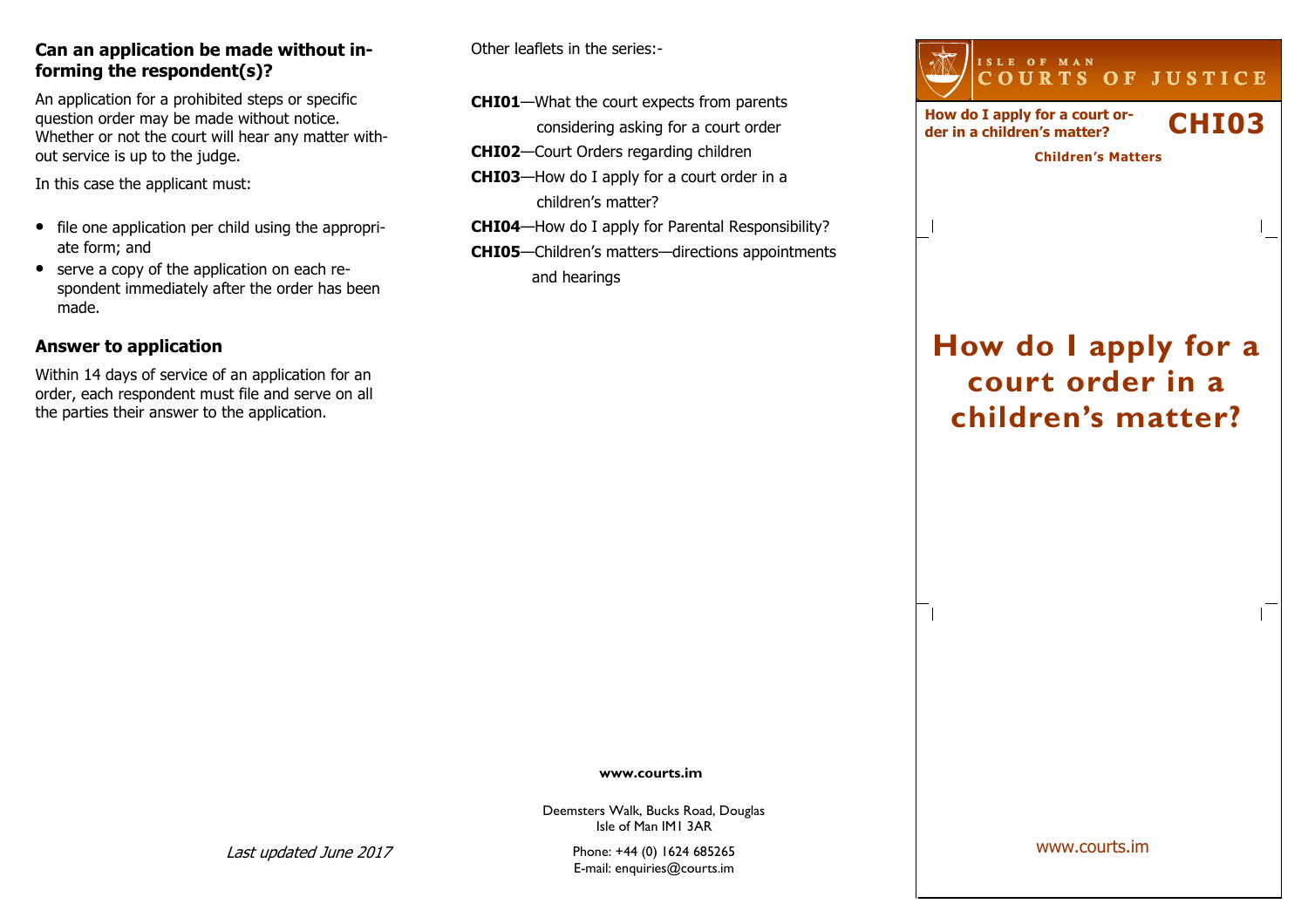#### Can an application be made without informing the respondent(s)?

An application for a prohibited steps or specific question order may be made without notice. Whether or not the court will hear any matter without service is up to the judge.

In this case the applicant must:

- file one application per child using the appropriate form; and
- serve a copy of the application on each respondent immediately after the order has been made.

## Answer to application

Within 14 days of service of an application for an order, each respondent must file and serve on all the parties their answer to the application.

Other leaflets in the series:-

- CHI01—What the court expects from parents considering asking for a court order
- CHI02—Court Orders regarding children
- CHI03—How do I apply for a court order in a children's matter?
- CHI04—How do I apply for Parental Responsibility?
- CHI05—Children's matters—directions appointments and hearings

| ISLE OF MAN<br>COURTS OF JUSTICE                              |                   |
|---------------------------------------------------------------|-------------------|
| How do I apply for a court or-<br>der in a children's matter? | CHI <sub>03</sub> |
| <b>Children's Matters</b>                                     |                   |
|                                                               |                   |
|                                                               |                   |
|                                                               |                   |

# How do I apply for a court order in a children's matter?

www.courts.im

Deemsters Walk, Bucks Road, Douglas Isle of Man IM1 3AR

Phone: +44 (0) 1624 685265 E-mail: enquiries@courts.im www.courts.im